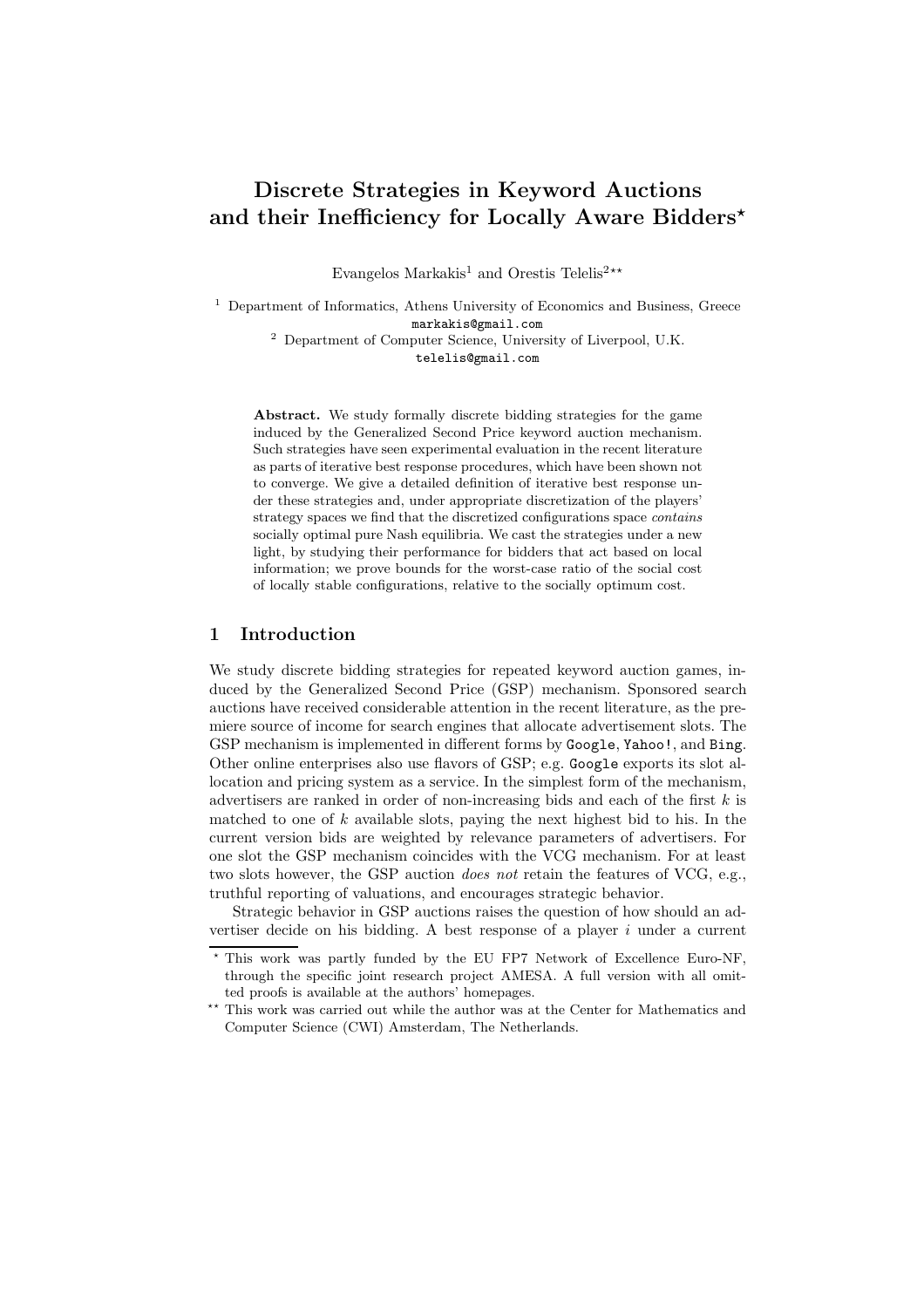# Discrete Strategies in Keyword Auctions and their Inefficiency for Locally Aware Bidders<sup>\*</sup>

Evangelos Markakis<sup>1</sup> and Orestis Telelis<sup>2\*\*</sup>

<sup>1</sup> Department of Informatics, Athens University of Economics and Business, Greece markakis@gmail.com <sup>2</sup> Department of Computer Science, University of Liverpool, U.K.

telelis@gmail.com

Abstract. We study formally discrete bidding strategies for the game induced by the Generalized Second Price keyword auction mechanism. Such strategies have seen experimental evaluation in the recent literature as parts of iterative best response procedures, which have been shown not to converge. We give a detailed definition of iterative best response under these strategies and, under appropriate discretization of the players' strategy spaces we find that the discretized configurations space contains socially optimal pure Nash equilibria. We cast the strategies under a new light, by studying their performance for bidders that act based on local information; we prove bounds for the worst-case ratio of the social cost of locally stable configurations, relative to the socially optimum cost.

#### 1 Introduction

We study discrete bidding strategies for repeated keyword auction games, induced by the Generalized Second Price (GSP) mechanism. Sponsored search auctions have received considerable attention in the recent literature, as the premiere source of income for search engines that allocate advertisement slots. The GSP mechanism is implemented in different forms by Google, Yahoo!, and Bing. Other online enterprises also use flavors of GSP; e.g. Google exports its slot allocation and pricing system as a service. In the simplest form of the mechanism, advertisers are ranked in order of non-increasing bids and each of the first  $k$  is matched to one of  $k$  available slots, paying the next highest bid to his. In the current version bids are weighted by relevance parameters of advertisers. For one slot the GSP mechanism coincides with the VCG mechanism. For at least two slots however, the GSP auction does not retain the features of VCG, e.g., truthful reporting of valuations, and encourages strategic behavior.

Strategic behavior in GSP auctions raises the question of how should an advertiser decide on his bidding. A best response of a player  $i$  under a current

This work was partly funded by the EU FP7 Network of Excellence Euro-NF, through the specific joint research project AMESA. A full version with all omitted proofs is available at the authors' homepages.

 $^{\star\star}$  This work was carried out while the author was at the Center for Mathematics and Computer Science (CWI) Amsterdam, The Netherlands.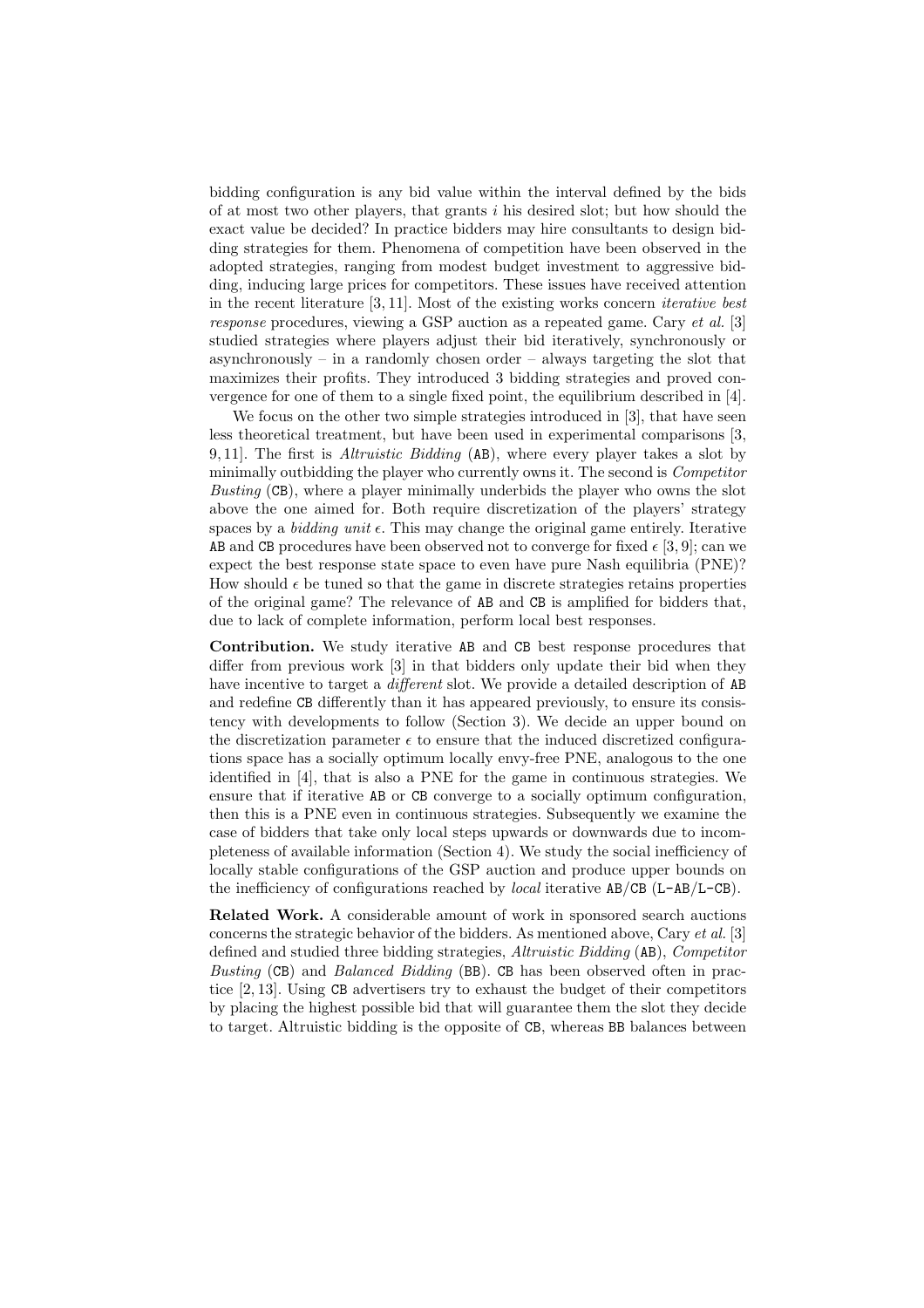bidding configuration is any bid value within the interval defined by the bids of at most two other players, that grants  $i$  his desired slot; but how should the exact value be decided? In practice bidders may hire consultants to design bidding strategies for them. Phenomena of competition have been observed in the adopted strategies, ranging from modest budget investment to aggressive bidding, inducing large prices for competitors. These issues have received attention in the recent literature [3, 11]. Most of the existing works concern iterative best response procedures, viewing a GSP auction as a repeated game. Cary et al. [3] studied strategies where players adjust their bid iteratively, synchronously or asynchronously – in a randomly chosen order – always targeting the slot that maximizes their profits. They introduced 3 bidding strategies and proved convergence for one of them to a single fixed point, the equilibrium described in [4].

We focus on the other two simple strategies introduced in [3], that have seen less theoretical treatment, but have been used in experimental comparisons [3, 9, 11. The first is *Altruistic Bidding*  $(AB)$ , where every player takes a slot by minimally outbidding the player who currently owns it. The second is Competitor Busting (CB), where a player minimally underbids the player who owns the slot above the one aimed for. Both require discretization of the players' strategy spaces by a *bidding unit*  $\epsilon$ . This may change the original game entirely. Iterative AB and CB procedures have been observed not to converge for fixed  $\epsilon$  [3, 9]; can we expect the best response state space to even have pure Nash equilibria (PNE)? How should  $\epsilon$  be tuned so that the game in discrete strategies retains properties of the original game? The relevance of AB and CB is amplified for bidders that, due to lack of complete information, perform local best responses.

Contribution. We study iterative AB and CB best response procedures that differ from previous work [3] in that bidders only update their bid when they have incentive to target a *different* slot. We provide a detailed description of AB and redefine CB differently than it has appeared previously, to ensure its consistency with developments to follow (Section 3). We decide an upper bound on the discretization parameter  $\epsilon$  to ensure that the induced discretized configurations space has a socially optimum locally envy-free PNE, analogous to the one identified in [4], that is also a PNE for the game in continuous strategies. We ensure that if iterative AB or CB converge to a socially optimum configuration, then this is a PNE even in continuous strategies. Subsequently we examine the case of bidders that take only local steps upwards or downwards due to incompleteness of available information (Section 4). We study the social inefficiency of locally stable configurations of the GSP auction and produce upper bounds on the inefficiency of configurations reached by *local* iterative  $AB/CB$  ( $L-AB/L-CB$ ).

Related Work. A considerable amount of work in sponsored search auctions concerns the strategic behavior of the bidders. As mentioned above, Cary  $et al.$  [3] defined and studied three bidding strategies, Altruistic Bidding (AB), Competitor Busting (CB) and Balanced Bidding (BB). CB has been observed often in practice [2, 13]. Using CB advertisers try to exhaust the budget of their competitors by placing the highest possible bid that will guarantee them the slot they decide to target. Altruistic bidding is the opposite of CB, whereas BB balances between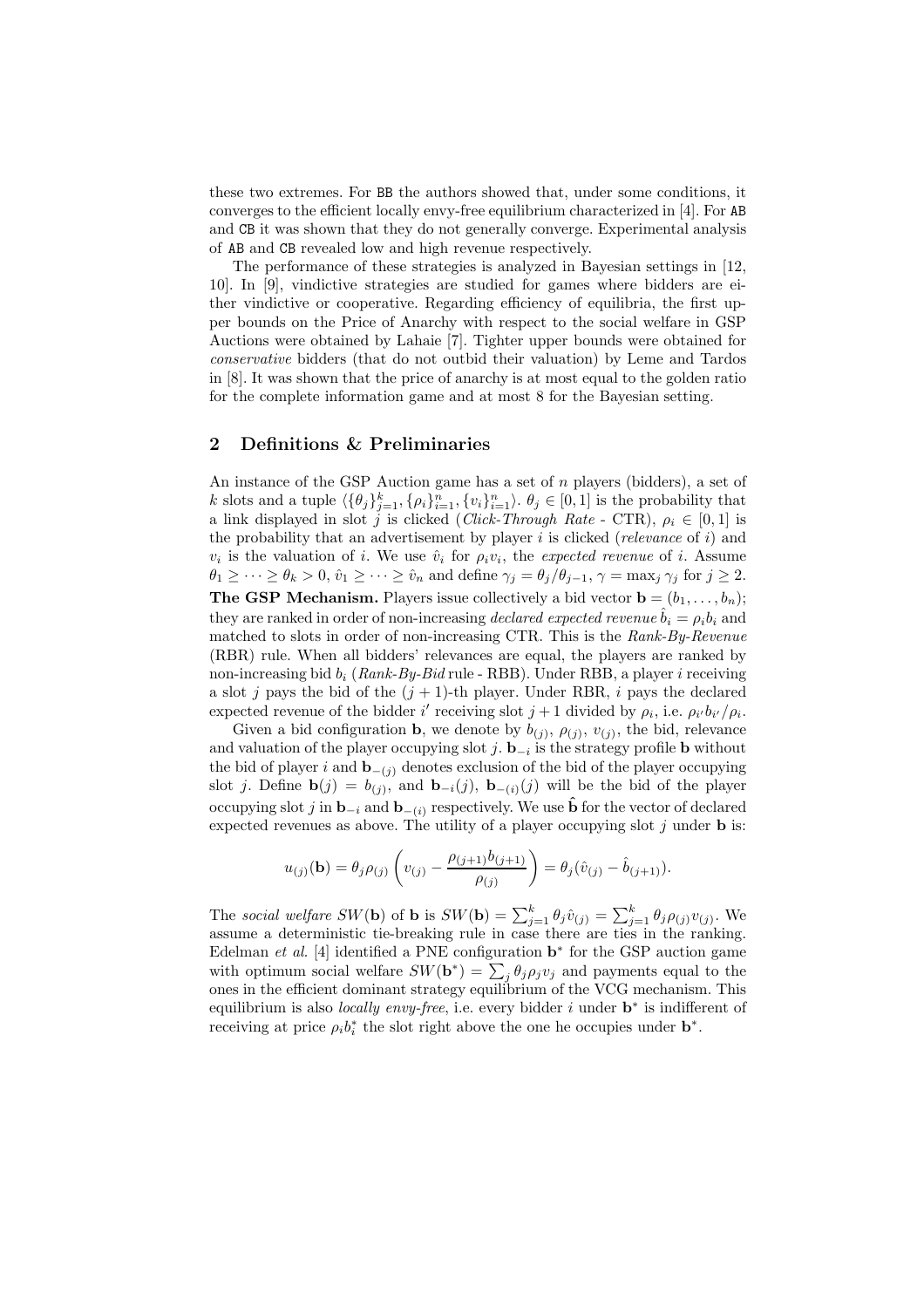these two extremes. For BB the authors showed that, under some conditions, it converges to the efficient locally envy-free equilibrium characterized in [4]. For AB and CB it was shown that they do not generally converge. Experimental analysis of AB and CB revealed low and high revenue respectively.

The performance of these strategies is analyzed in Bayesian settings in [12, 10]. In [9], vindictive strategies are studied for games where bidders are either vindictive or cooperative. Regarding efficiency of equilibria, the first upper bounds on the Price of Anarchy with respect to the social welfare in GSP Auctions were obtained by Lahaie [7]. Tighter upper bounds were obtained for conservative bidders (that do not outbid their valuation) by Leme and Tardos in [8]. It was shown that the price of anarchy is at most equal to the golden ratio for the complete information game and at most 8 for the Bayesian setting.

## 2 Definitions & Preliminaries

An instance of the GSP Auction game has a set of n players (bidders), a set of k slots and a tuple  $\langle \{\theta_j\}_{j=1}^k, \{\rho_i\}_{i=1}^n, \{v_i\}_{i=1}^n \rangle$ .  $\theta_j \in [0, 1]$  is the probability that a link displayed in slot j is clicked (Click-Through Rate - CTR),  $\rho_i \in [0, 1]$  is the probability that an advertisement by player  $i$  is clicked (relevance of  $i$ ) and  $v_i$  is the valuation of i. We use  $\hat{v}_i$  for  $\rho_i v_i$ , the expected revenue of i. Assume  $\theta_1 \geq \cdots \geq \theta_k > 0$ ,  $\hat{v}_1 \geq \cdots \geq \hat{v}_n$  and define  $\gamma_j = \theta_j/\theta_{j-1}$ ,  $\gamma = \max_j \gamma_j$  for  $j \geq 2$ . **The GSP Mechanism.** Players issue collectively a bid vector  $\mathbf{b} = (b_1, \ldots, b_n);$ they are ranked in order of non-increasing declared expected revenue  $b_i = \rho_i b_i$  and matched to slots in order of non-increasing CTR. This is the Rank-By-Revenue (RBR) rule. When all bidders' relevances are equal, the players are ranked by non-increasing bid  $b_i$  (Rank-By-Bid rule - RBB). Under RBB, a player i receiving a slot j pays the bid of the  $(j + 1)$ -th player. Under RBR, i pays the declared expected revenue of the bidder i' receiving slot  $j+1$  divided by  $\rho_i$ , i.e.  $\rho_{i'}b_{i'}/\rho_i$ .

Given a bid configuration **b**, we denote by  $b_{(j)}$ ,  $\rho_{(j)}$ ,  $v_{(j)}$ , the bid, relevance and valuation of the player occupying slot  $j$ .  $\mathbf{b}_{-i}$  is the strategy profile **b** without the bid of player i and  $\mathbf{b}_{-(j)}$  denotes exclusion of the bid of the player occupying slot j. Define  $\mathbf{b}(j) = b_{(j)}$ , and  $\mathbf{b}_{-i}(j)$ ,  $\mathbf{b}_{-(i)}(j)$  will be the bid of the player occupying slot j in  $\mathbf{b}_{-i}$  and  $\mathbf{b}_{-(i)}$  respectively. We use  $\hat{\mathbf{b}}$  for the vector of declared expected revenues as above. The utility of a player occupying slot  $j$  under **b** is:

$$
u_{(j)}(\mathbf{b}) = \theta_j \rho_{(j)} \left( v_{(j)} - \frac{\rho_{(j+1)} b_{(j+1)}}{\rho_{(j)}} \right) = \theta_j (\hat{v}_{(j)} - \hat{b}_{(j+1)}).
$$

The social welfare SW(b) of **b** is  $SW(\mathbf{b}) = \sum_{j=1}^{k} \theta_j \hat{v}_{(j)} = \sum_{j=1}^{k} \theta_j \rho_{(j)} v_{(j)}$ . We assume a deterministic tie-breaking rule in case there are ties in the ranking. Edelman *et al.* [4] identified a PNE configuration  $\mathbf{b}^*$  for the GSP auction game with optimum social welfare  $SW(b^*) = \sum_j \theta_j \rho_j v_j$  and payments equal to the ones in the efficient dominant strategy equilibrium of the VCG mechanism. This equilibrium is also *locally envy-free*, i.e. every bidder i under  $\mathbf{b}^*$  is indifferent of receiving at price  $\rho_i b_i^*$  the slot right above the one he occupies under  $\mathbf{b}^*$ .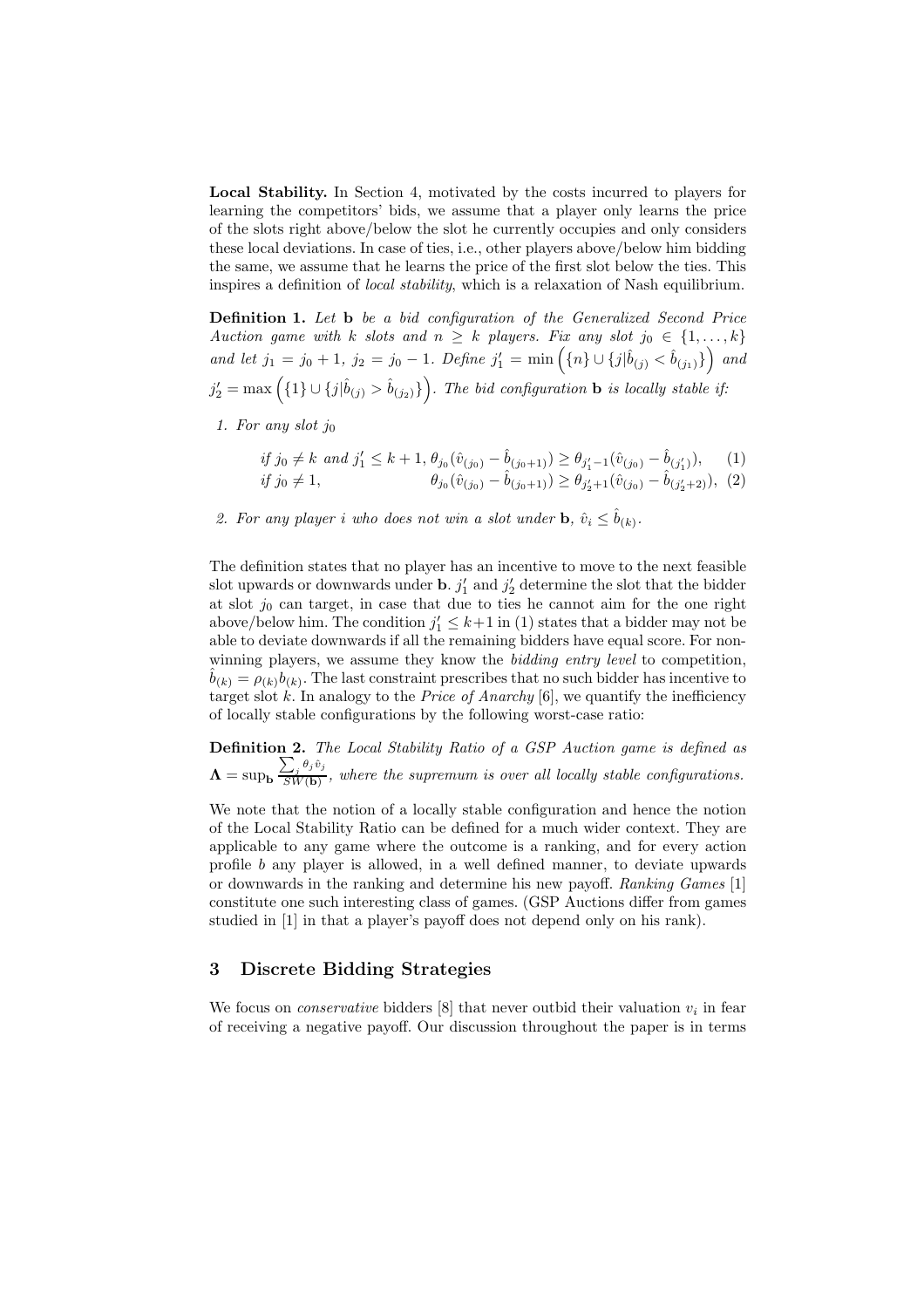Local Stability. In Section 4, motivated by the costs incurred to players for learning the competitors' bids, we assume that a player only learns the price of the slots right above/below the slot he currently occupies and only considers these local deviations. In case of ties, i.e., other players above/below him bidding the same, we assume that he learns the price of the first slot below the ties. This inspires a definition of local stability, which is a relaxation of Nash equilibrium.

**Definition 1.** Let **b** be a bid configuration of the Generalized Second Price Auction game with k slots and  $n \geq k$  players. Fix any slot  $j_0 \in \{1, ..., k\}$ and let  $j_1 = j_0 + 1$ ,  $j_2 = j_0 - 1$ . Define  $j'_1 = \min\left(\{n\} \cup \{j | \hat{b}_{(j)} < \hat{b}_{(j_1)}\}\right)$  and  $j_2' = \max\left(\{1\} \cup \{j|\hat{b}_{(j)} > \hat{b}_{(j_2)}\}\right)$ . The bid configuration **b** is locally stable if:

1. For any slot  $j_0$ 

if 
$$
j_0 \neq k
$$
 and  $j'_1 \leq k + 1$ ,  $\theta_{j_0}(\hat{v}_{(j_0)} - \hat{b}_{(j_0+1)}) \geq \theta_{j'_1-1}(\hat{v}_{(j_0)} - \hat{b}_{(j'_1)}),$  (1)  
if  $j_0 \neq 1$ ,  $\theta_{j_0}(\hat{v}_{(j_0)} - \hat{b}_{(j_0+1)}) \geq \theta_{j'_2+1}(\hat{v}_{(j_0)} - \hat{b}_{(j'_2+2)}),$  (2)

2. For any player i who does not win a slot under **b**,  $\hat{v}_i \leq \hat{b}_{(k)}$ .

The definition states that no player has an incentive to move to the next feasible slot upwards or downwards under **b**.  $j'_1$  and  $j'_2$  determine the slot that the bidder at slot  $j_0$  can target, in case that due to ties he cannot aim for the one right above/below him. The condition  $j'_1 \leq k+1$  in (1) states that a bidder may not be able to deviate downwards if all the remaining bidders have equal score. For nonwinning players, we assume they know the *bidding entry level* to competition,  $\hat{b}_{(k)} = \rho_{(k)} b_{(k)}$ . The last constraint prescribes that no such bidder has incentive to target slot  $k$ . In analogy to the *Price of Anarchy* [6], we quantify the inefficiency of locally stable configurations by the following worst-case ratio:

Definition 2. The Local Stability Ratio of a GSP Auction game is defined as  $\mathbf{\Lambda} = \sup_{\mathbf{b}} \frac{\sum_j \theta_j \hat{v}_j}{SW(\mathbf{b})}$  $\frac{\sum_{j=1}^{n} S_{j}}{SW(b)}$ , where the supremum is over all locally stable configurations.

We note that the notion of a locally stable configuration and hence the notion of the Local Stability Ratio can be defined for a much wider context. They are applicable to any game where the outcome is a ranking, and for every action profile b any player is allowed, in a well defined manner, to deviate upwards or downwards in the ranking and determine his new payoff. Ranking Games [1] constitute one such interesting class of games. (GSP Auctions differ from games studied in [1] in that a player's payoff does not depend only on his rank).

#### 3 Discrete Bidding Strategies

We focus on *conservative* bidders  $[8]$  that never outbid their valuation  $v_i$  in fear of receiving a negative payoff. Our discussion throughout the paper is in terms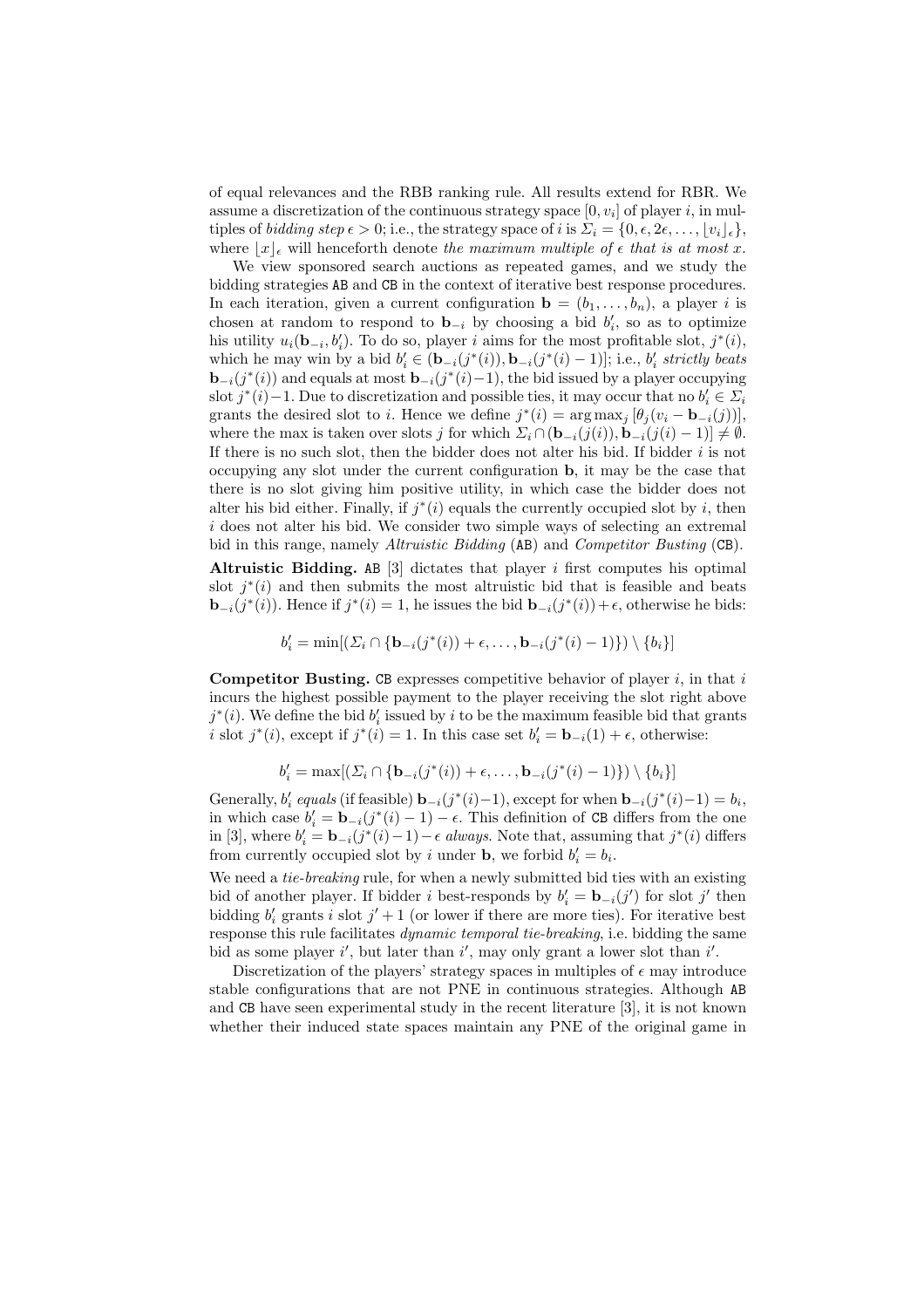of equal relevances and the RBB ranking rule. All results extend for RBR. We assume a discretization of the continuous strategy space  $[0, v_i]$  of player i, in multiples of bidding step  $\epsilon > 0$ ; i.e., the strategy space of i is  $\Sigma_i = \{0, \epsilon, 2\epsilon, \ldots, |v_i|_{\epsilon}\},$ where  $|x|_{\epsilon}$  will henceforth denote the maximum multiple of  $\epsilon$  that is at most x.

We view sponsored search auctions as repeated games, and we study the bidding strategies AB and CB in the context of iterative best response procedures. In each iteration, given a current configuration  $\mathbf{b} = (b_1, \ldots, b_n)$ , a player i is chosen at random to respond to  $\mathbf{b}_{-i}$  by choosing a bid  $b'_i$ , so as to optimize his utility  $u_i(\mathbf{b}_{-i}, b'_i)$ . To do so, player i aims for the most profitable slot,  $j^*(i)$ , which he may win by a bid  $b'_i \in (\mathbf{b}_{-i}(j^*(i)), \mathbf{b}_{-i}(j^*(i)-1)];$  i.e.,  $b'_i$  strictly beats  **and equals at most**  $**b**_{-i}(j^*(i)-1)$ **, the bid issued by a player occupying** slot  $j^*(i)$  −1. Due to discretization and possible ties, it may occur that no  $b'_i \in \Sigma_i$ grants the desired slot to *i*. Hence we define  $j^*(i) = \arg \max_j [\theta_j(v_i - \mathbf{b}_{-i}(j))],$ where the max is taken over slots j for which  $\Sigma_i \cap (\mathbf{b}_{-i}(j(i)), \mathbf{b}_{-i}(j(i) - 1)] \neq \emptyset$ . If there is no such slot, then the bidder does not alter his bid. If bidder  $i$  is not occupying any slot under the current configuration b, it may be the case that there is no slot giving him positive utility, in which case the bidder does not alter his bid either. Finally, if  $j^*(i)$  equals the currently occupied slot by i, then i does not alter his bid. We consider two simple ways of selecting an extremal bid in this range, namely Altruistic Bidding (AB) and Competitor Busting (CB).

Altruistic Bidding. AB  $[3]$  dictates that player i first computes his optimal slot  $j^*(i)$  and then submits the most altruistic bid that is feasible and beats  $\mathbf{b}_{-i}(j^*(i))$ . Hence if  $j^*(i) = 1$ , he issues the bid  $\mathbf{b}_{-i}(j^*(i)) + \epsilon$ , otherwise he bids:

$$
b'_i = \min[(\Sigma_i \cap \{ \mathbf{b}_{-i}(j^*(i)) + \epsilon, \dots, \mathbf{b}_{-i}(j^*(i)-1) \}) \setminus \{b_i\}]
$$

**Competitor Busting.** CB expresses competitive behavior of player  $i$ , in that i incurs the highest possible payment to the player receiving the slot right above  $j^*(i)$ . We define the bid  $b'_i$  issued by i to be the maximum feasible bid that grants i slot  $j^*(i)$ , except if  $j^*(i) = 1$ . In this case set  $b'_i = \mathbf{b}_{-i}(1) + \epsilon$ , otherwise:

$$
b'_{i} = \max[(\Sigma_{i} \cap \{ \mathbf{b}_{-i}(j^*(i)) + \epsilon, \ldots, \mathbf{b}_{-i}(j^*(i)-1) \}) \setminus \{b_i\}]
$$

Generally,  $b'_i$  equals (if feasible)  $\mathbf{b}_{-i}(j^*(i)-1)$ , except for when  $\mathbf{b}_{-i}(j^*(i)-1) = b_i$ , in which case  $b'_i = \mathbf{b}_{-i}(j^*(i)-1) - \epsilon$ . This definition of CB differs from the one in [3], where  $b'_i = \mathbf{b}_{-i}(j^*(i)-1) - \epsilon$  always. Note that, assuming that  $j^*(i)$  differs from currently occupied slot by i under **b**, we forbid  $b'_i = b_i$ .

We need a *tie-breaking* rule, for when a newly submitted bid ties with an existing bid of another player. If bidder i best-responds by  $b'_i = \mathbf{b}_{-i}(j')$  for slot j' then bidding  $b'_i$  grants i slot  $j' + 1$  (or lower if there are more ties). For iterative best response this rule facilitates *dynamic temporal tie-breaking*, i.e. bidding the same bid as some player  $i'$ , but later than  $i'$ , may only grant a lower slot than  $i'$ .

Discretization of the players' strategy spaces in multiples of  $\epsilon$  may introduce stable configurations that are not PNE in continuous strategies. Although AB and CB have seen experimental study in the recent literature [3], it is not known whether their induced state spaces maintain any PNE of the original game in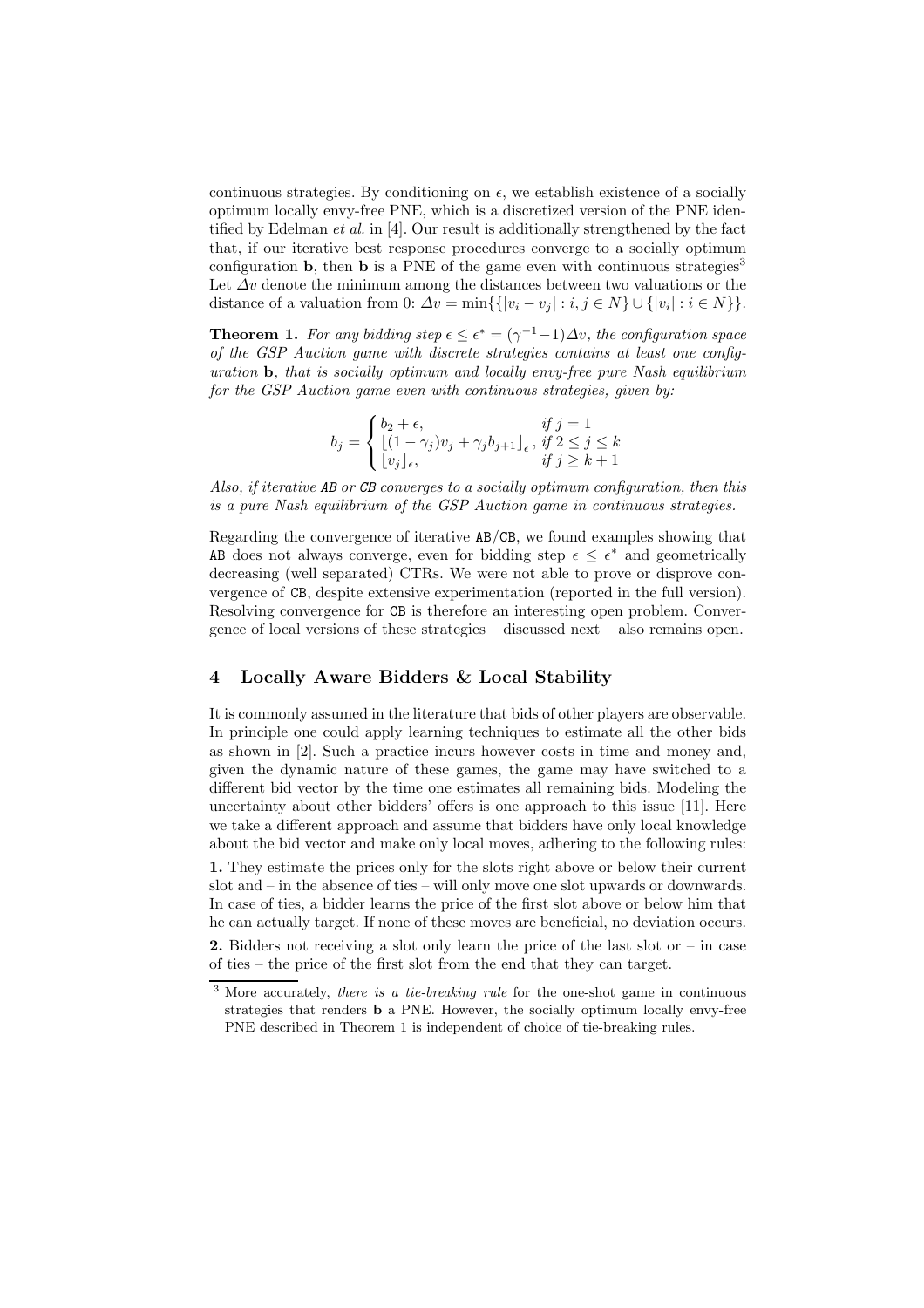continuous strategies. By conditioning on  $\epsilon$ , we establish existence of a socially optimum locally envy-free PNE, which is a discretized version of the PNE identified by Edelman et al. in [4]. Our result is additionally strengthened by the fact that, if our iterative best response procedures converge to a socially optimum configuration **b**, then **b** is a PNE of the game even with continuous strategies<sup>3</sup> Let  $\Delta v$  denote the minimum among the distances between two valuations or the distance of a valuation from 0:  $\Delta v = \min\{\{|v_i - v_j| : i, j \in N\} \cup \{|v_i| : i \in N\}\}.$ 

**Theorem 1.** For any bidding step  $\epsilon \leq \epsilon^* = (\gamma^{-1}-1)\Delta v$ , the configuration space of the GSP Auction game with discrete strategies contains at least one configuration b, that is socially optimum and locally envy-free pure Nash equilibrium for the GSP Auction game even with continuous strategies, given by:

$$
b_j = \begin{cases} b_2 + \epsilon, & \text{if } j = 1\\ \lfloor (1 - \gamma_j)v_j + \gamma_j b_{j+1} \rfloor_{\epsilon}, & \text{if } 2 \le j \le k\\ \lfloor v_j \rfloor_{\epsilon}, & \text{if } j \ge k+1 \end{cases}
$$

Also, if iterative AB or CB converges to a socially optimum configuration, then this is a pure Nash equilibrium of the GSP Auction game in continuous strategies.

Regarding the convergence of iterative AB/CB, we found examples showing that AB does not always converge, even for bidding step  $\epsilon \leq \epsilon^*$  and geometrically decreasing (well separated) CTRs. We were not able to prove or disprove convergence of CB, despite extensive experimentation (reported in the full version). Resolving convergence for CB is therefore an interesting open problem. Convergence of local versions of these strategies – discussed next – also remains open.

### 4 Locally Aware Bidders & Local Stability

It is commonly assumed in the literature that bids of other players are observable. In principle one could apply learning techniques to estimate all the other bids as shown in [2]. Such a practice incurs however costs in time and money and, given the dynamic nature of these games, the game may have switched to a different bid vector by the time one estimates all remaining bids. Modeling the uncertainty about other bidders' offers is one approach to this issue [11]. Here we take a different approach and assume that bidders have only local knowledge about the bid vector and make only local moves, adhering to the following rules:

1. They estimate the prices only for the slots right above or below their current slot and – in the absence of ties – will only move one slot upwards or downwards. In case of ties, a bidder learns the price of the first slot above or below him that he can actually target. If none of these moves are beneficial, no deviation occurs.

**2.** Bidders not receiving a slot only learn the price of the last slot or  $-$  in case of ties – the price of the first slot from the end that they can target.

 $\overline{\text{3 More accurately}}$ , there is a tie-breaking rule for the one-shot game in continuous strategies that renders b a PNE. However, the socially optimum locally envy-free PNE described in Theorem 1 is independent of choice of tie-breaking rules.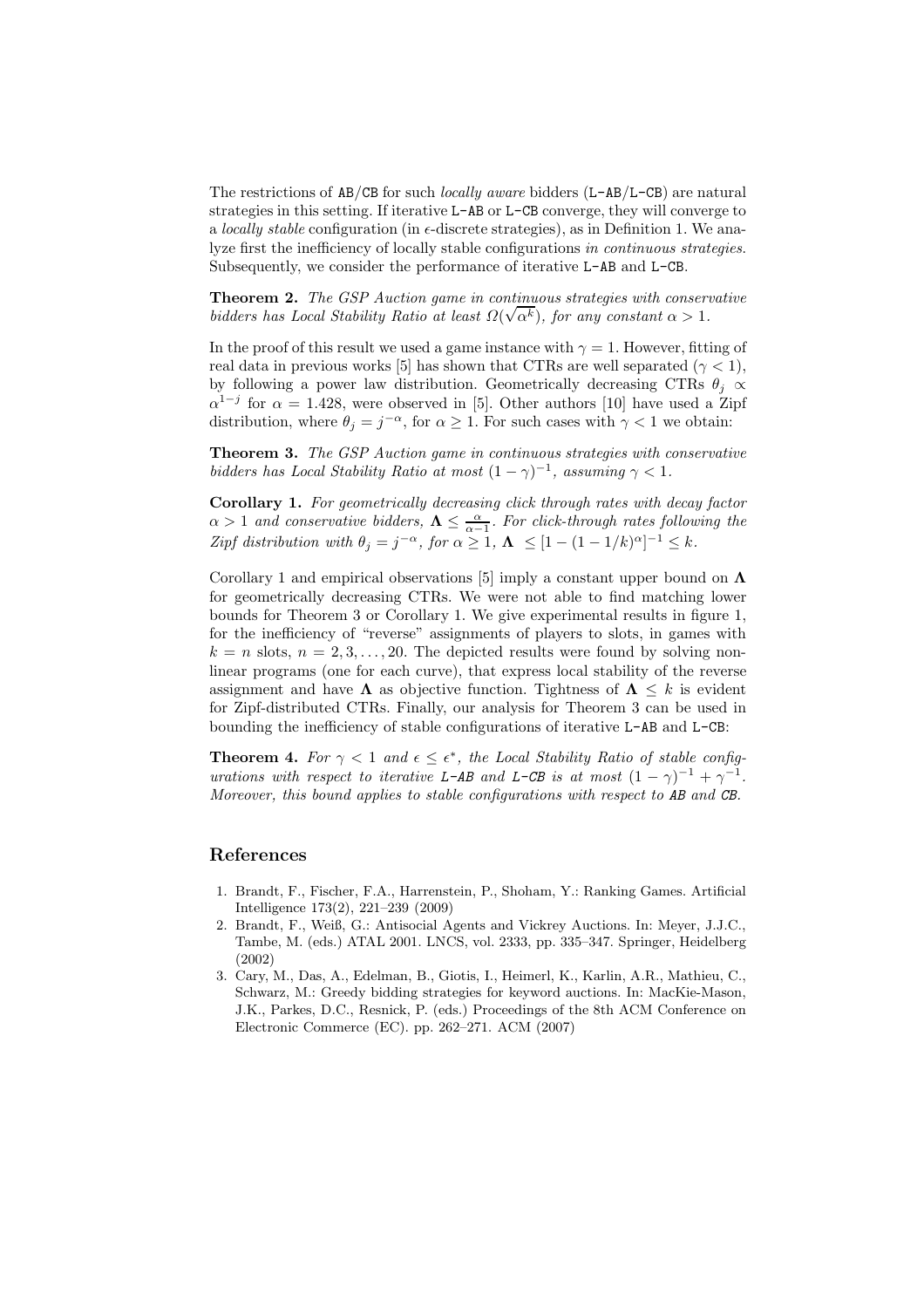The restrictions of AB/CB for such locally aware bidders (L-AB/L-CB) are natural strategies in this setting. If iterative L-AB or L-CB converge, they will converge to a locally stable configuration (in  $\epsilon$ -discrete strategies), as in Definition 1. We analyze first the inefficiency of locally stable configurations in continuous strategies. Subsequently, we consider the performance of iterative L-AB and L-CB.

Theorem 2. The GSP Auction game in continuous strategies with conservative bidders has Local Stability Ratio at least  $\Omega(\sqrt{\alpha^k})$ , for any constant  $\alpha > 1$ .

In the proof of this result we used a game instance with  $\gamma = 1$ . However, fitting of real data in previous works [5] has shown that CTRs are well separated ( $\gamma < 1$ ), by following a power law distribution. Geometrically decreasing CTRs  $\theta_j \propto$  $\alpha^{1-j}$  for  $\alpha = 1.428$ , were observed in [5]. Other authors [10] have used a Zipf distribution, where  $\theta_j = j^{-\alpha}$ , for  $\alpha \ge 1$ . For such cases with  $\gamma < 1$  we obtain:

Theorem 3. The GSP Auction game in continuous strategies with conservative bidders has Local Stability Ratio at most  $(1 - \gamma)^{-1}$ , assuming  $\gamma < 1$ .

Corollary 1. For geometrically decreasing click through rates with decay factor  $\alpha > 1$  and conservative bidders,  $\Lambda \leq \frac{\alpha}{\alpha - 1}$ . For click-through rates following the Zipf distribution with  $\theta_j = j^{-\alpha}$ , for  $\alpha \geq 1$ ,  $\Lambda \leq [1 - (1 - 1/k)^{\alpha}]^{-1} \leq k$ .

Corollary 1 and empirical observations [5] imply a constant upper bound on  $\Lambda$ for geometrically decreasing CTRs. We were not able to find matching lower bounds for Theorem 3 or Corollary 1. We give experimental results in figure 1, for the inefficiency of "reverse" assignments of players to slots, in games with  $k = n$  slots,  $n = 2, 3, \ldots, 20$ . The depicted results were found by solving nonlinear programs (one for each curve), that express local stability of the reverse assignment and have  $\Lambda$  as objective function. Tightness of  $\Lambda \leq k$  is evident for Zipf-distributed CTRs. Finally, our analysis for Theorem 3 can be used in bounding the inefficiency of stable configurations of iterative L-AB and L-CB:

**Theorem 4.** For  $\gamma < 1$  and  $\epsilon \leq \epsilon^*$ , the Local Stability Ratio of stable configurations with respect to iterative L-AB and L-CB is at most  $(1 - \gamma)^{-1} + \gamma^{-1}$ . Moreover, this bound applies to stable configurations with respect to AB and CB.

#### References

- 1. Brandt, F., Fischer, F.A., Harrenstein, P., Shoham, Y.: Ranking Games. Artificial Intelligence 173(2), 221–239 (2009)
- 2. Brandt, F., Weiß, G.: Antisocial Agents and Vickrey Auctions. In: Meyer, J.J.C., Tambe, M. (eds.) ATAL 2001. LNCS, vol. 2333, pp. 335–347. Springer, Heidelberg (2002)
- 3. Cary, M., Das, A., Edelman, B., Giotis, I., Heimerl, K., Karlin, A.R., Mathieu, C., Schwarz, M.: Greedy bidding strategies for keyword auctions. In: MacKie-Mason, J.K., Parkes, D.C., Resnick, P. (eds.) Proceedings of the 8th ACM Conference on Electronic Commerce (EC). pp. 262–271. ACM (2007)